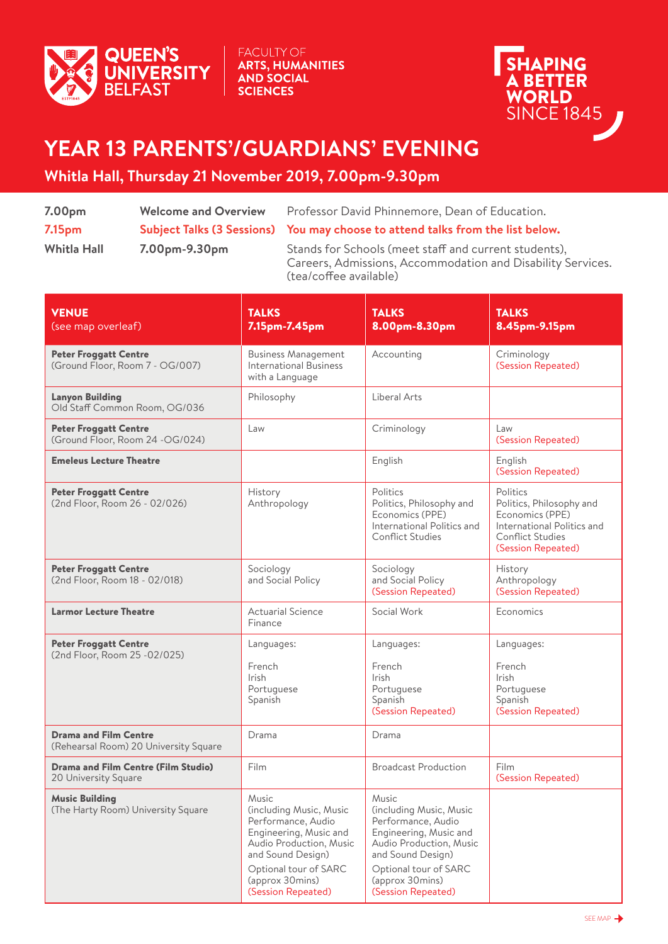

**FACULTY OF** ARTS, HUMANITIES **AND SOCIAL SCIENCES** 



## **YEAR 13 PARENTS'/GUARDIANS' EVENING**

## **Whitla Hall, Thursday 21 November 2019, 7.00pm-9.30pm**

| 7.00 <sub>pm</sub> | <b>Welcome and Overview</b> | Professor David Phinnemore, Dean of Education.                                                                                                 |  |
|--------------------|-----------------------------|------------------------------------------------------------------------------------------------------------------------------------------------|--|
| 7.15 <sub>pm</sub> |                             | Subject Talks (3 Sessions) You may choose to attend talks from the list below.                                                                 |  |
| <b>Whitla Hall</b> | 7.00pm-9.30pm               | Stands for Schools (meet staff and current students),<br>Careers, Admissions, Accommodation and Disability Services.<br>(tea/coffee available) |  |

| <b>VENUE</b><br>(see map overleaf)                                    | <b>TALKS</b><br>7.15pm-7.45pm                                                                                                                                                                      | <b>TALKS</b><br>8.00pm-8.30pm                                                                                                                                                                      | <b>TALKS</b><br>8.45pm-9.15pm                                                                                                          |
|-----------------------------------------------------------------------|----------------------------------------------------------------------------------------------------------------------------------------------------------------------------------------------------|----------------------------------------------------------------------------------------------------------------------------------------------------------------------------------------------------|----------------------------------------------------------------------------------------------------------------------------------------|
| <b>Peter Froggatt Centre</b><br>(Ground Floor, Room 7 - OG/007)       | <b>Business Management</b><br><b>International Business</b><br>with a Language                                                                                                                     | Accounting                                                                                                                                                                                         | Criminology<br>(Session Repeated)                                                                                                      |
| <b>Lanyon Building</b><br>Old Staff Common Room, OG/036               | Philosophy                                                                                                                                                                                         | Liberal Arts                                                                                                                                                                                       |                                                                                                                                        |
| <b>Peter Froggatt Centre</b><br>(Ground Floor, Room 24 - OG/024)      | Law                                                                                                                                                                                                | Criminology                                                                                                                                                                                        | Law<br>(Session Repeated)                                                                                                              |
| <b>Emeleus Lecture Theatre</b>                                        |                                                                                                                                                                                                    | English                                                                                                                                                                                            | English<br>(Session Repeated)                                                                                                          |
| <b>Peter Froggatt Centre</b><br>(2nd Floor, Room 26 - 02/026)         | History<br>Anthropology                                                                                                                                                                            | Politics<br>Politics, Philosophy and<br>Economics (PPE)<br>International Politics and<br><b>Conflict Studies</b>                                                                                   | Politics<br>Politics, Philosophy and<br>Economics (PPE)<br>International Politics and<br><b>Conflict Studies</b><br>(Session Repeated) |
| <b>Peter Froggatt Centre</b><br>(2nd Floor, Room 18 - 02/018)         | Sociology<br>and Social Policy                                                                                                                                                                     | Sociology<br>and Social Policy<br>(Session Repeated)                                                                                                                                               | History<br>Anthropology<br>(Session Repeated)                                                                                          |
| <b>Larmor Lecture Theatre</b>                                         | <b>Actuarial Science</b><br>Finance                                                                                                                                                                | Social Work                                                                                                                                                                                        | Economics                                                                                                                              |
| <b>Peter Froggatt Centre</b><br>(2nd Floor, Room 25 - 02/025)         | Languages:<br>French<br><b>Irish</b><br>Portuguese<br>Spanish                                                                                                                                      | Languages:<br>French<br><b>Irish</b><br>Portuguese<br>Spanish<br>(Session Repeated)                                                                                                                | Languages:<br>French<br><b>Irish</b><br>Portuguese<br>Spanish<br>(Session Repeated)                                                    |
| <b>Drama and Film Centre</b><br>(Rehearsal Room) 20 University Square | Drama                                                                                                                                                                                              | Drama                                                                                                                                                                                              |                                                                                                                                        |
| <b>Drama and Film Centre (Film Studio)</b><br>20 University Square    | Film                                                                                                                                                                                               | <b>Broadcast Production</b>                                                                                                                                                                        | Film<br>(Session Repeated)                                                                                                             |
| <b>Music Building</b><br>(The Harty Room) University Square           | Music<br>(including Music, Music<br>Performance, Audio<br>Engineering, Music and<br>Audio Production, Music<br>and Sound Design)<br>Optional tour of SARC<br>(approx 30mins)<br>(Session Repeated) | Music<br>(including Music, Music<br>Performance, Audio<br>Engineering, Music and<br>Audio Production, Music<br>and Sound Design)<br>Optional tour of SARC<br>(approx 30mins)<br>(Session Repeated) |                                                                                                                                        |